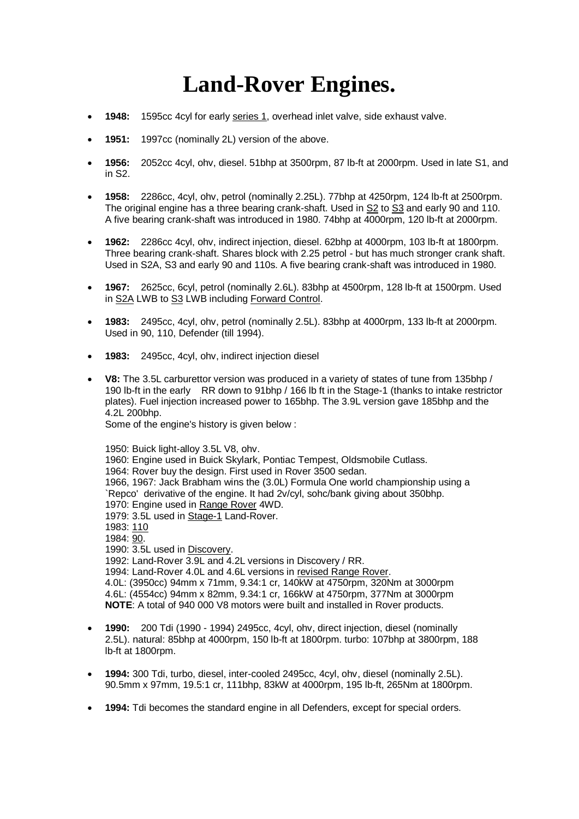## **Land-Rover Engines.**

- **1948:** 1595cc 4cyl for early [series 1,](http://www.csse.monash.edu.au/~lloyd/tildeLand-Rover/S1/) overhead inlet valve, side exhaust valve.
- **1951:** 1997cc (nominally 2L) version of the above.
- **1956:** 2052cc 4cyl, ohv, diesel. 51bhp at 3500rpm, 87 lb-ft at 2000rpm. Used in late S1, and in S2.
- **1958:** 2286cc, 4cyl, ohv, petrol (nominally 2.25L). 77bhp at 4250rpm, 124 lb-ft at 2500rpm. The original engine has a three bearing crank-shaft. Used i[n S2](http://www.csse.monash.edu.au/~lloyd/tildeLand-Rover/S2/) t[o S3](http://www.csse.monash.edu.au/~lloyd/tildeLand-Rover/S3/) and early 90 and 110. A five bearing crank-shaft was introduced in 1980. 74bhp at 4000rpm, 120 lb-ft at 2000rpm.
- **1962:** 2286cc 4cyl, ohv, indirect injection, diesel. 62bhp at 4000rpm, 103 lb-ft at 1800rpm. Three bearing crank-shaft. Shares block with 2.25 petrol - but has much stronger crank shaft. Used in S2A, S3 and early 90 and 110s. A five bearing crank-shaft was introduced in 1980.
- **1967:** 2625cc, 6cyl, petrol (nominally 2.6L). 83bhp at 4500rpm, 128 lb-ft at 1500rpm. Used i[n S2A](http://www.csse.monash.edu.au/~lloyd/tildeLand-Rover/S2/) LWB to [S3](http://www.csse.monash.edu.au/~lloyd/tildeLand-Rover/S3/) LWB includin[g Forward Control.](http://www.csse.monash.edu.au/~lloyd/tildeLand-Rover/FC/)
- **1983:** 2495cc, 4cyl, ohv, petrol (nominally 2.5L). 83bhp at 4000rpm, 133 lb-ft at 2000rpm. Used in 90, 110, Defender (till 1994).
- **1983:** 2495cc, 4cyl, ohv, indirect injection diesel
- **V8:** The 3.5L carburettor version was produced in a variety of states of tune from 135bhp / 190 lb-ft in the early RR down to 91bhp / 166 lb ft in the Stage-1 (thanks to intake restrictor plates). Fuel injection increased power to 165bhp. The 3.9L version gave 185bhp and the 4.2L 200bhp.

Some of the engine's history is given below :

1950: Buick light-alloy 3.5L V8, ohv. 1960: Engine used in Buick Skylark, Pontiac Tempest, Oldsmobile Cutlass. 1964: Rover buy the design. First used in Rover 3500 sedan. 1966, 1967: Jack Brabham wins the (3.0L) Formula One world championship using a `Repco' derivative of the engine. It had 2v/cyl, sohc/bank giving about 350bhp. 1970: Engine used i[n Range Rover](http://www.csse.monash.edu.au/~lloyd/tildeLand-Rover/RR/main.html) 4WD. 1979: 3.5L used in [Stage-1](http://www.csse.monash.edu.au/~lloyd/tildeLand-Rover/Stage1/) Land-Rover. 1983: [110](http://www.csse.monash.edu.au/~lloyd/tildeLand-Rover/110/) 1984: [90.](http://www.csse.monash.edu.au/~lloyd/tildeLand-Rover/90/) 1990: 3.5L used in [Discovery.](http://www.csse.monash.edu.au/~lloyd/tildeLand-Rover/Discovery/) 1992: Land-Rover 3.9L and 4.2L versions in Discovery / RR. 1994: Land-Rover 4.0L and 4.6L versions in [revised Range Rover.](http://www.csse.monash.edu.au/~lloyd/tildeLand-Rover/RR/main.html) 4.0L: (3950cc) 94mm x 71mm, 9.34:1 cr, 140kW at 4750rpm, 320Nm at 3000rpm 4.6L: (4554cc) 94mm x 82mm, 9.34:1 cr, 166kW at 4750rpm, 377Nm at 3000rpm **NOTE**: A total of 940 000 V8 motors were built and installed in Rover products.

- **1990:** 200 Tdi (1990 1994) 2495cc, 4cyl, ohv, direct injection, diesel (nominally 2.5L). natural: 85bhp at 4000rpm, 150 lb-ft at 1800rpm. turbo: 107bhp at 3800rpm, 188 lb-ft at 1800rpm.
- **1994:** 300 Tdi, turbo, diesel, inter-cooled 2495cc, 4cyl, ohv, diesel (nominally 2.5L). 90.5mm x 97mm, 19.5:1 cr, 111bhp, 83kW at 4000rpm, 195 lb-ft, 265Nm at 1800rpm.
- **1994:** Tdi becomes the standard engine in all Defenders, except for special orders.